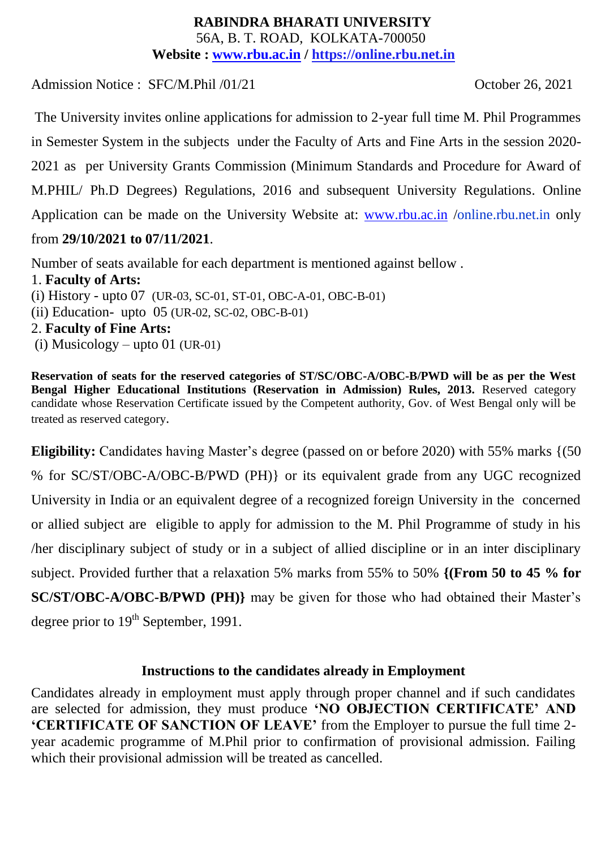#### **RABINDRA BHARATI UNIVERSITY** 56A, B. T. ROAD, KOLKATA-700050 **Website : [www.rbu.ac.in](http://www.rbu.ac.in/) / https://online.rbu.net.in**

Admission Notice : SFC/M.Phil /01/21 October 26, 2021

The University invites online applications for admission to 2-year full time M. Phil Programmes in Semester System in the subjects under the Faculty of Arts and Fine Arts in the session 2020- 2021 as per University Grants Commission (Minimum Standards and Procedure for Award of M.PHIL/ Ph.D Degrees) Regulations, 2016 and subsequent University Regulations. Online Application can be made on the University Website at: [www.rbu.ac.in](http://www.rbu.ac.in/) /online.rbu.net.in only from **29/10/2021 to 07/11/2021**.

Number of seats available for each department is mentioned against bellow . 1. **Faculty of Arts:** (i) History - upto 07 (UR-03, SC-01, ST-01, OBC-A-01, OBC-B-01) (ii) Education- upto 05 (UR-02, SC-02, OBC-B-01) 2. **Faculty of Fine Arts:** (i) Musicology – upto 01 (UR-01)

**Reservation of seats for the reserved categories of ST/SC/OBC-A/OBC-B/PWD will be as per the West Bengal Higher Educational Institutions (Reservation in Admission) Rules, 2013.** Reserved category candidate whose Reservation Certificate issued by the Competent authority, Gov. of West Bengal only will be treated as reserved category.

**Eligibility:** Candidates having Master's degree (passed on or before 2020) with 55% marks {(50)} % for SC/ST/OBC-A/OBC-B/PWD (PH)} or its equivalent grade from any UGC recognized University in India or an equivalent degree of a recognized foreign University in the concerned or allied subject are eligible to apply for admission to the M. Phil Programme of study in his /her disciplinary subject of study or in a subject of allied discipline or in an inter disciplinary subject. Provided further that a relaxation 5% marks from 55% to 50% **{(From 50 to 45 % for SC/ST/OBC-A/OBC-B/PWD (PH)}** may be given for those who had obtained their Master's degree prior to 19<sup>th</sup> September, 1991.

## **Instructions to the candidates already in Employment**

Candidates already in employment must apply through proper channel and if such candidates are selected for admission, they must produce **'NO OBJECTION CERTIFICATE' AND 'CERTIFICATE OF SANCTION OF LEAVE'** from the Employer to pursue the full time 2 year academic programme of M.Phil prior to confirmation of provisional admission. Failing which their provisional admission will be treated as cancelled.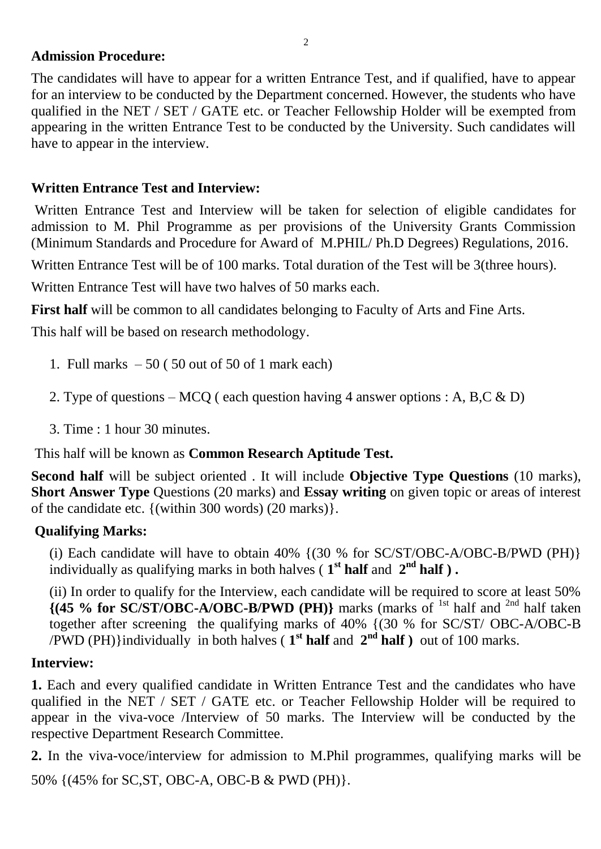#### **Admission Procedure:**

The candidates will have to appear for a written Entrance Test, and if qualified, have to appear for an interview to be conducted by the Department concerned. However, the students who have qualified in the NET / SET / GATE etc. or Teacher Fellowship Holder will be exempted from appearing in the written Entrance Test to be conducted by the University. Such candidates will have to appear in the interview.

## **Written Entrance Test and Interview:**

Written Entrance Test and Interview will be taken for selection of eligible candidates for admission to M. Phil Programme as per provisions of the University Grants Commission (Minimum Standards and Procedure for Award of M.PHIL/ Ph.D Degrees) Regulations, 2016.

Written Entrance Test will be of 100 marks. Total duration of the Test will be 3(three hours).

Written Entrance Test will have two halves of 50 marks each.

**First half** will be common to all candidates belonging to Faculty of Arts and Fine Arts.

This half will be based on research methodology.

- 1. Full marks  $-50$  (50 out of 50 of 1 mark each)
- 2. Type of questions MCQ ( each question having 4 answer options : A, B,C & D)
- 3. Time : 1 hour 30 minutes.

This half will be known as **Common Research Aptitude Test.**

**Second half** will be subject oriented . It will include **Objective Type Questions** (10 marks), **Short Answer Type** Questions (20 marks) and **Essay writing** on given topic or areas of interest of the candidate etc. {(within 300 words) (20 marks)}.

## **Qualifying Marks:**

(i) Each candidate will have to obtain  $40\%$  {(30 % for SC/ST/OBC-A/OBC-B/PWD (PH)} individually as qualifying marks in both halves ( $1<sup>st</sup>$  **half** and  $2<sup>nd</sup>$  **half**).

(ii) In order to qualify for the Interview, each candidate will be required to score at least 50%  $\{$  (45 % for SC/ST/OBC-A/OBC-B/PWD (PH)} marks (marks of <sup>1st</sup> half and <sup>2nd</sup> half taken together after screening the qualifying marks of 40% {(30 % for SC/ST/ OBC-A/OBC-B /PWD (PH)}individually in both halves ( $1<sup>st</sup>$  **half** and  $2<sup>nd</sup>$  **half**) out of 100 marks.

## **Interview:**

**1.** Each and every qualified candidate in Written Entrance Test and the candidates who have qualified in the NET / SET / GATE etc. or Teacher Fellowship Holder will be required to appear in the viva-voce /Interview of 50 marks. The Interview will be conducted by the respective Department Research Committee.

**2.** In the viva-voce/interview for admission to M.Phil programmes, qualifying marks will be

50% {(45% for SC,ST, OBC-A, OBC-B & PWD (PH)}.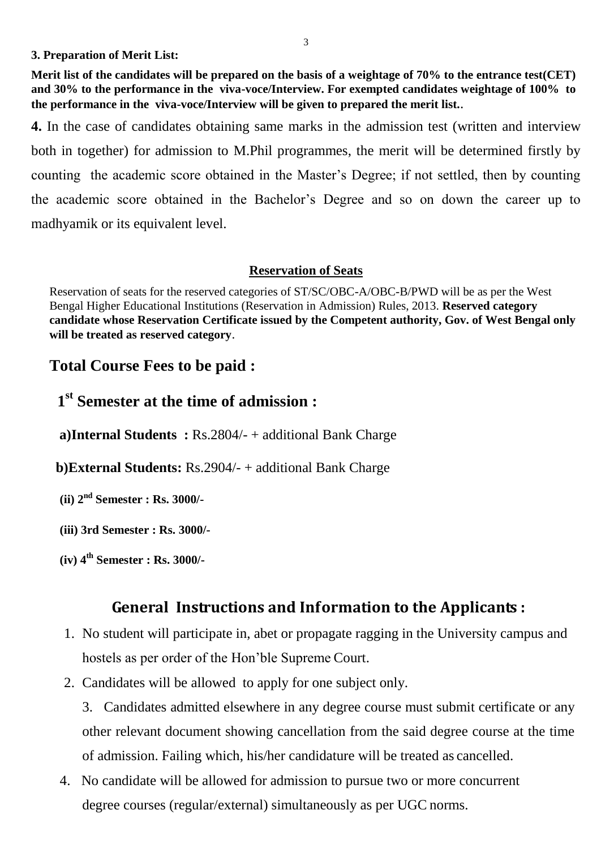**3. Preparation of Merit List:**

**Merit list of the candidates will be prepared on the basis of a weightage of 70% to the entrance test(CET) and 30% to the performance in the viva-voce/Interview. For exempted candidates weightage of 100% to the performance in the viva-voce/Interview will be given to prepared the merit list.**.

**4.** In the case of candidates obtaining same marks in the admission test (written and interview both in together) for admission to M.Phil programmes, the merit will be determined firstly by counting the academic score obtained in the Master's Degree; if not settled, then by counting the academic score obtained in the Bachelor's Degree and so on down the career up to madhyamik or its equivalent level.

#### **Reservation of Seats**

Reservation of seats for the reserved categories of ST/SC/OBC-A/OBC-B/PWD will be as per the West Bengal Higher Educational Institutions (Reservation in Admission) Rules, 2013. **Reserved category candidate whose Reservation Certificate issued by the Competent authority, Gov. of West Bengal only will be treated as reserved category**.

## **Total Course Fees to be paid :**

## **1 st Semester at the time of admission :**

 **a)Internal Students :** Rs.2804/- + additional Bank Charge

 **b)External Students:** Rs.2904/- + additional Bank Charge

**(ii) 2nd Semester : Rs. 3000/-**

**(iii) 3rd Semester : Rs. 3000/-**

**(iv) 4th Semester : Rs. 3000/-**

## **General Instructions and Information to the Applicants :**

- 1. No student will participate in, abet or propagate ragging in the University campus and hostels as per order of the Hon'ble Supreme Court.
- 2. Candidates will be allowed to apply for one subject only.

3. Candidates admitted elsewhere in any degree course must submit certificate or any other relevant document showing cancellation from the said degree course at the time of admission. Failing which, his/her candidature will be treated as cancelled.

4. No candidate will be allowed for admission to pursue two or more concurrent degree courses (regular/external) simultaneously as per UGC norms.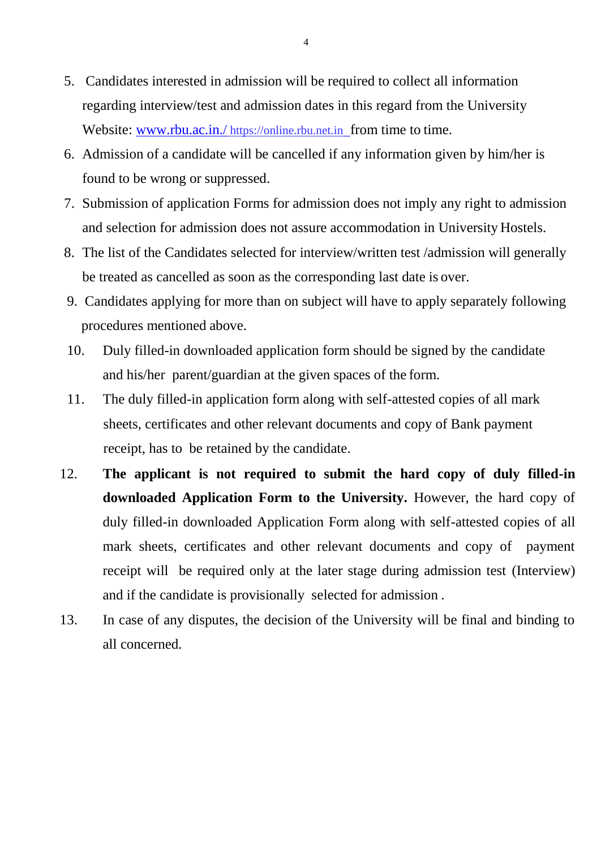- 5. Candidates interested in admission will be required to collect all information regarding interview/test and admission dates in this regard from the University Website: www.rbu.ac.in./ [https://online.rbu.net.in](http://www.rbu.ac.in./online.rbu.net.in%20%20from%20time%20to%20time.) from time to time.
- 6. Admission of a candidate will be cancelled if any information given by him/her is found to be wrong or suppressed.
- 7. Submission of application Forms for admission does not imply any right to admission and selection for admission does not assure accommodation in University Hostels.
- 8. The list of the Candidates selected for interview/written test /admission will generally be treated as cancelled as soon as the corresponding last date is over.
- 9. Candidates applying for more than on subject will have to apply separately following procedures mentioned above.
- 10. Duly filled-in downloaded application form should be signed by the candidate and his/her parent/guardian at the given spaces of the form.
- 11. The duly filled-in application form along with self-attested copies of all mark sheets, certificates and other relevant documents and copy of Bank payment receipt, has to be retained by the candidate.
- 12. **The applicant is not required to submit the hard copy of duly filled-in downloaded Application Form to the University.** However, the hard copy of duly filled-in downloaded Application Form along with self-attested copies of all mark sheets, certificates and other relevant documents and copy of payment receipt will be required only at the later stage during admission test (Interview) and if the candidate is provisionally selected for admission .
- 13. In case of any disputes, the decision of the University will be final and binding to all concerned.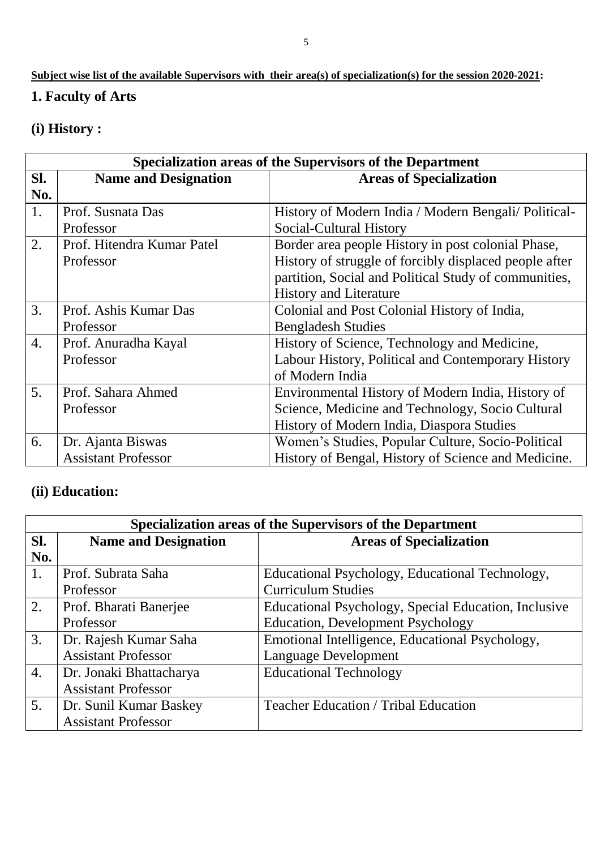## **Subject wise list of the available Supervisors with their area(s) of specialization(s) for the session 2020-2021:**

## **1. Faculty of Arts**

## **(i) History :**

| Specialization areas of the Supervisors of the Department |                             |                                                        |  |
|-----------------------------------------------------------|-----------------------------|--------------------------------------------------------|--|
| SI.                                                       | <b>Name and Designation</b> | <b>Areas of Specialization</b>                         |  |
| No.                                                       |                             |                                                        |  |
| 1.                                                        | Prof. Susnata Das           | History of Modern India / Modern Bengali/ Political-   |  |
|                                                           | Professor                   | Social-Cultural History                                |  |
| 2.                                                        | Prof. Hitendra Kumar Patel  | Border area people History in post colonial Phase,     |  |
|                                                           | Professor                   | History of struggle of forcibly displaced people after |  |
|                                                           |                             | partition, Social and Political Study of communities,  |  |
|                                                           |                             | <b>History and Literature</b>                          |  |
| 3.                                                        | Prof. Ashis Kumar Das       | Colonial and Post Colonial History of India,           |  |
|                                                           | Professor                   | <b>Bengladesh Studies</b>                              |  |
| $\overline{4}$ .                                          | Prof. Anuradha Kayal        | History of Science, Technology and Medicine,           |  |
|                                                           | Professor                   | Labour History, Political and Contemporary History     |  |
|                                                           |                             | of Modern India                                        |  |
| 5 <sub>1</sub>                                            | Prof. Sahara Ahmed          | Environmental History of Modern India, History of      |  |
|                                                           | Professor                   | Science, Medicine and Technology, Socio Cultural       |  |
|                                                           |                             | History of Modern India, Diaspora Studies              |  |
| 6.                                                        | Dr. Ajanta Biswas           | Women's Studies, Popular Culture, Socio-Political      |  |
|                                                           | <b>Assistant Professor</b>  | History of Bengal, History of Science and Medicine.    |  |

## **(ii) Education:**

| Specialization areas of the Supervisors of the Department |                             |                                                      |  |
|-----------------------------------------------------------|-----------------------------|------------------------------------------------------|--|
| SI.                                                       | <b>Name and Designation</b> | <b>Areas of Specialization</b>                       |  |
| No.                                                       |                             |                                                      |  |
| 1.                                                        | Prof. Subrata Saha          | Educational Psychology, Educational Technology,      |  |
|                                                           | Professor                   | <b>Curriculum Studies</b>                            |  |
| 2.                                                        | Prof. Bharati Banerjee      | Educational Psychology, Special Education, Inclusive |  |
|                                                           | Professor                   | <b>Education, Development Psychology</b>             |  |
| 3.                                                        | Dr. Rajesh Kumar Saha       | Emotional Intelligence, Educational Psychology,      |  |
|                                                           | <b>Assistant Professor</b>  | <b>Language Development</b>                          |  |
| $\overline{4}$ .                                          | Dr. Jonaki Bhattacharya     | <b>Educational Technology</b>                        |  |
|                                                           | <b>Assistant Professor</b>  |                                                      |  |
| 5.                                                        | Dr. Sunil Kumar Baskey      | <b>Teacher Education / Tribal Education</b>          |  |
|                                                           | <b>Assistant Professor</b>  |                                                      |  |